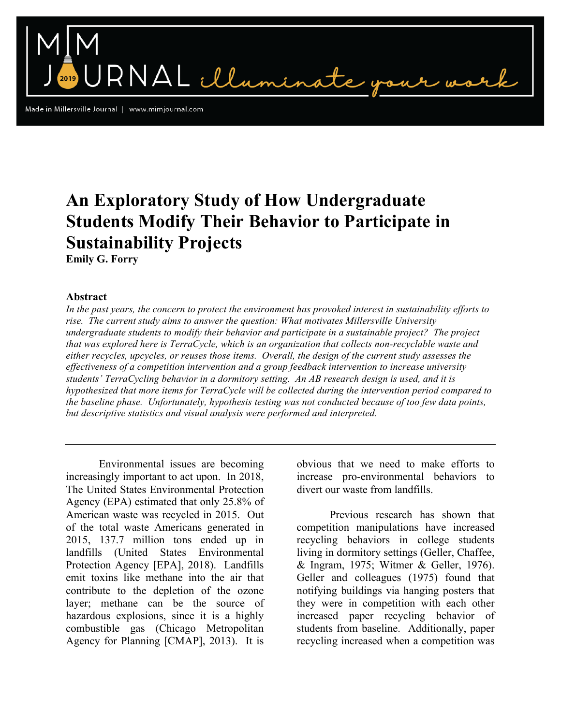$\n **RNAL**$  illa

Made in Millersville Journal | www.mimjournal.com

# **An Exploratory Study of How Undergraduate Students Modify Their Behavior to Participate in Sustainability Projects**

**Emily G. Forry**

# **Abstract**

*In the past years, the concern to protect the environment has provoked interest in sustainability efforts to rise. The current study aims to answer the question: What motivates Millersville University undergraduate students to modify their behavior and participate in a sustainable project? The project that was explored here is TerraCycle, which is an organization that collects non-recyclable waste and either recycles, upcycles, or reuses those items. Overall, the design of the current study assesses the effectiveness of a competition intervention and a group feedback intervention to increase university students' TerraCycling behavior in a dormitory setting. An AB research design is used, and it is hypothesized that more items for TerraCycle will be collected during the intervention period compared to the baseline phase. Unfortunately, hypothesis testing was not conducted because of too few data points, but descriptive statistics and visual analysis were performed and interpreted.* 

Environmental issues are becoming increasingly important to act upon. In 2018, The United States Environmental Protection Agency (EPA) estimated that only 25.8% of American waste was recycled in 2015. Out of the total waste Americans generated in 2015, 137.7 million tons ended up in landfills (United States Environmental Protection Agency [EPA], 2018). Landfills emit toxins like methane into the air that contribute to the depletion of the ozone layer; methane can be the source of hazardous explosions, since it is a highly combustible gas (Chicago Metropolitan Agency for Planning [CMAP], 2013). It is

obvious that we need to make efforts to increase pro-environmental behaviors to divert our waste from landfills.

Previous research has shown that competition manipulations have increased recycling behaviors in college students living in dormitory settings (Geller, Chaffee, & Ingram, 1975; Witmer & Geller, 1976). Geller and colleagues (1975) found that notifying buildings via hanging posters that they were in competition with each other increased paper recycling behavior of students from baseline. Additionally, paper recycling increased when a competition was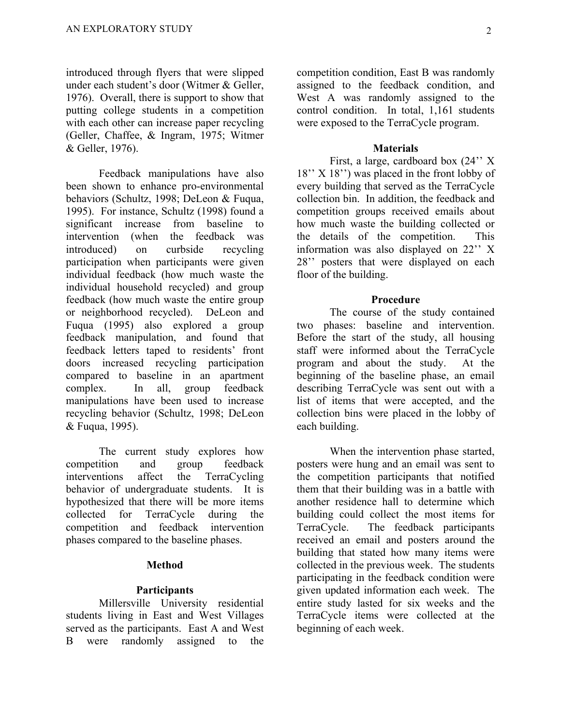introduced through flyers that were slipped under each student's door (Witmer & Geller, 1976). Overall, there is support to show that putting college students in a competition with each other can increase paper recycling (Geller, Chaffee, & Ingram, 1975; Witmer & Geller, 1976).

Feedback manipulations have also been shown to enhance pro-environmental behaviors (Schultz, 1998; DeLeon & Fuqua, 1995). For instance, Schultz (1998) found a significant increase from baseline to intervention (when the feedback was introduced) on curbside recycling participation when participants were given individual feedback (how much waste the individual household recycled) and group feedback (how much waste the entire group or neighborhood recycled). DeLeon and Fuqua (1995) also explored a group feedback manipulation, and found that feedback letters taped to residents' front doors increased recycling participation compared to baseline in an apartment complex. In all, group feedback manipulations have been used to increase recycling behavior (Schultz, 1998; DeLeon & Fuqua, 1995).

The current study explores how competition and group feedback interventions affect the TerraCycling behavior of undergraduate students. It is hypothesized that there will be more items collected for TerraCycle during the competition and feedback intervention phases compared to the baseline phases.

# **Method**

# **Participants**

Millersville University residential students living in East and West Villages served as the participants. East A and West B were randomly assigned to the

competition condition, East B was randomly assigned to the feedback condition, and West A was randomly assigned to the control condition. In total, 1,161 students were exposed to the TerraCycle program.

#### **Materials**

First, a large, cardboard box (24'' X 18'' X 18'') was placed in the front lobby of every building that served as the TerraCycle collection bin. In addition, the feedback and competition groups received emails about how much waste the building collected or the details of the competition. This information was also displayed on 22'' X 28'' posters that were displayed on each floor of the building.

#### **Procedure**

The course of the study contained two phases: baseline and intervention. Before the start of the study, all housing staff were informed about the TerraCycle program and about the study. At the beginning of the baseline phase, an email describing TerraCycle was sent out with a list of items that were accepted, and the collection bins were placed in the lobby of each building.

When the intervention phase started, posters were hung and an email was sent to the competition participants that notified them that their building was in a battle with another residence hall to determine which building could collect the most items for TerraCycle. The feedback participants received an email and posters around the building that stated how many items were collected in the previous week. The students participating in the feedback condition were given updated information each week. The entire study lasted for six weeks and the TerraCycle items were collected at the beginning of each week.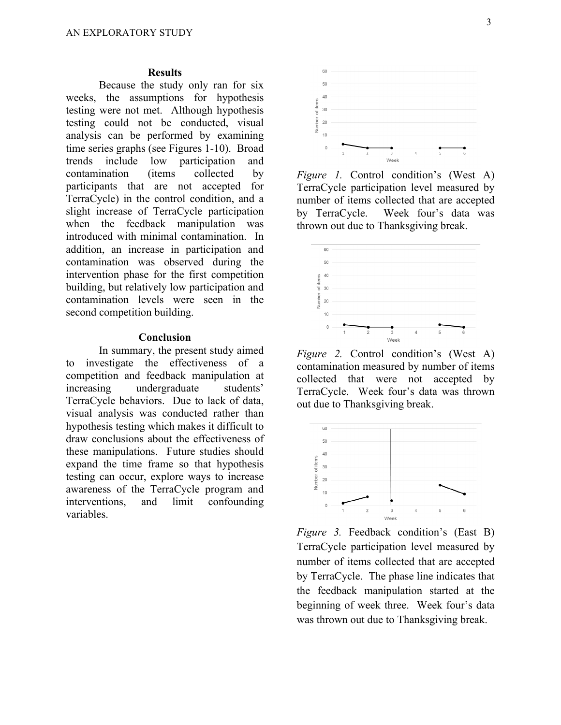#### **Results**

Because the study only ran for six weeks, the assumptions for hypothesis testing were not met. Although hypothesis testing could not be conducted, visual analysis can be performed by examining time series graphs (see Figures 1-10). Broad trends include low participation and contamination (items collected by participants that are not accepted for TerraCycle) in the control condition, and a slight increase of TerraCycle participation when the feedback manipulation was introduced with minimal contamination. In addition, an increase in participation and contamination was observed during the intervention phase for the first competition building, but relatively low participation and contamination levels were seen in the second competition building.

## **Conclusion**

In summary, the present study aimed to investigate the effectiveness of a competition and feedback manipulation at increasing undergraduate students' TerraCycle behaviors. Due to lack of data, visual analysis was conducted rather than hypothesis testing which makes it difficult to draw conclusions about the effectiveness of these manipulations. Future studies should expand the time frame so that hypothesis testing can occur, explore ways to increase awareness of the TerraCycle program and interventions, and limit confounding variables.



*Figure 1.* Control condition's (West A) TerraCycle participation level measured by number of items collected that are accepted by TerraCycle. Week four's data was thrown out due to Thanksgiving break.



*Figure 2.* Control condition's (West A) contamination measured by number of items collected that were not accepted by TerraCycle. Week four's data was thrown out due to Thanksgiving break.



*Figure 3.* Feedback condition's (East B) TerraCycle participation level measured by number of items collected that are accepted by TerraCycle. The phase line indicates that the feedback manipulation started at the beginning of week three. Week four's data was thrown out due to Thanksgiving break.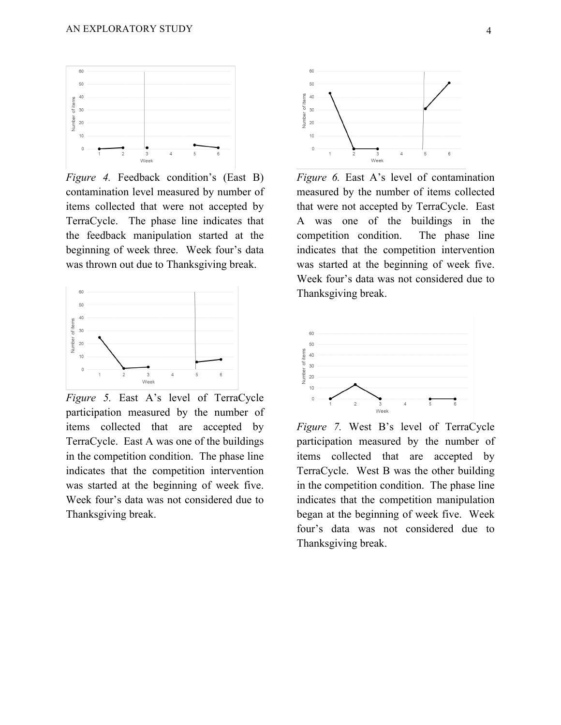

*Figure 4.* Feedback condition's (East B) contamination level measured by number of items collected that were not accepted by TerraCycle. The phase line indicates that the feedback manipulation started at the beginning of week three. Week four's data was thrown out due to Thanksgiving break.



*Figure 5.* East A's level of TerraCycle participation measured by the number of items collected that are accepted by TerraCycle. East A was one of the buildings in the competition condition. The phase line indicates that the competition intervention was started at the beginning of week five. Week four's data was not considered due to Thanksgiving break.



*Figure 6.* East A's level of contamination measured by the number of items collected that were not accepted by TerraCycle. East A was one of the buildings in the competition condition. The phase line indicates that the competition intervention was started at the beginning of week five. Week four's data was not considered due to Thanksgiving break.



*Figure 7.* West B's level of TerraCycle participation measured by the number of items collected that are accepted by TerraCycle. West B was the other building in the competition condition. The phase line indicates that the competition manipulation began at the beginning of week five. Week four's data was not considered due to Thanksgiving break.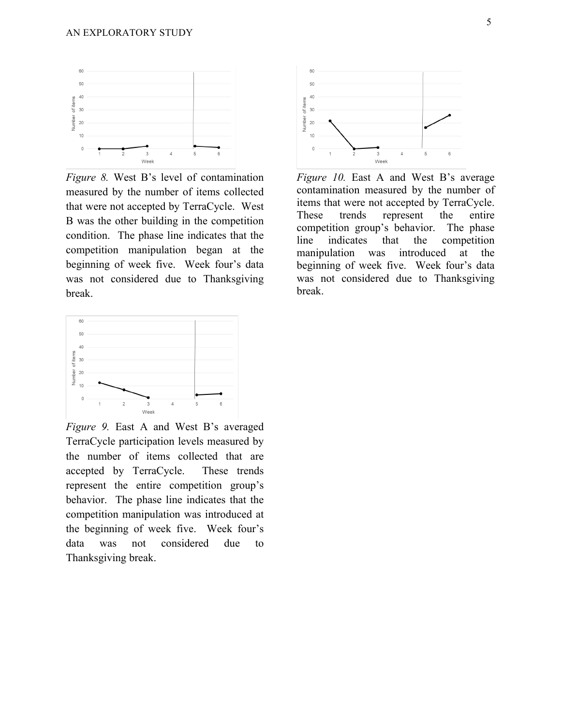

*Figure 8.* West B's level of contamination measured by the number of items collected that were not accepted by TerraCycle. West B was the other building in the competition condition. The phase line indicates that the competition manipulation began at the beginning of week five. Week four's data was not considered due to Thanksgiving break.



*Figure 10.* East A and West B's average contamination measured by the number of items that were not accepted by TerraCycle. These trends represent the entire competition group's behavior. The phase line indicates that the competition manipulation was introduced at the beginning of week five. Week four's data was not considered due to Thanksgiving break.



*Figure 9.* East A and West B's averaged TerraCycle participation levels measured by the number of items collected that are accepted by TerraCycle. These trends represent the entire competition group's behavior. The phase line indicates that the competition manipulation was introduced at the beginning of week five. Week four's data was not considered due to Thanksgiving break.